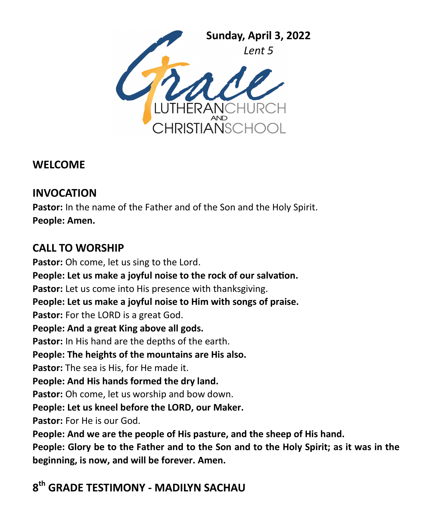

## **WELCOME**

# **INVOCATION**

**Pastor:** In the name of the Father and of the Son and the Holy Spirit. **People: Amen.**

# **CALL TO WORSHIP**

**Pastor:** Oh come, let us sing to the Lord. **People: Let us make a joyful noise to the rock of our salvation.** Pastor: Let us come into His presence with thanksgiving. **People: Let us make a joyful noise to Him with songs of praise. Pastor:** For the LORD is a great God. **People: And a great King above all gods. Pastor:** In His hand are the depths of the earth. **People: The heights of the mountains are His also. Pastor:** The sea is His, for He made it. **People: And His hands formed the dry land. Pastor:** Oh come, let us worship and bow down. **People: Let us kneel before the LORD, our Maker. Pastor:** For He is our God. **People: And we are the people of His pasture, and the sheep of His hand. People: Glory be to the Father and to the Son and to the Holy Spirit; as it was in the beginning, is now, and will be forever. Amen.**

# **8 th GRADE TESTIMONY - MADILYN SACHAU**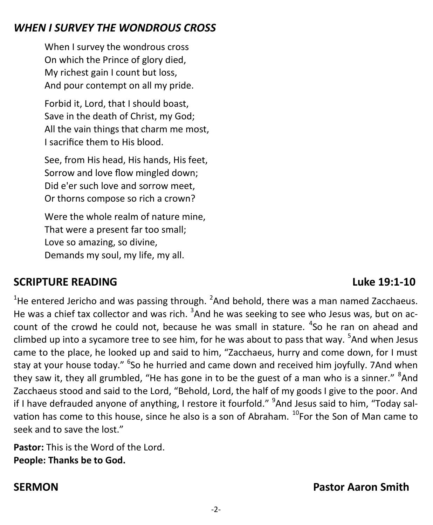# *WHEN I SURVEY THE WONDROUS CROSS*

When I survey the wondrous cross On which the Prince of glory died, My richest gain I count but loss, And pour contempt on all my pride.

Forbid it, Lord, that I should boast, Save in the death of Christ, my God; All the vain things that charm me most, I sacrifice them to His blood.

See, from His head, His hands, His feet, Sorrow and love flow mingled down; Did e'er such love and sorrow meet, Or thorns compose so rich a crown?

Were the whole realm of nature mine, That were a present far too small; Love so amazing, so divine, Demands my soul, my life, my all.

# **SCRIPTURE READING Luke 19:1-10**

<sup>1</sup>He entered Jericho and was passing through.  ${}^{2}$ And behold, there was a man named Zacchaeus. He was a chief tax collector and was rich. <sup>3</sup>And he was seeking to see who Jesus was, but on account of the crowd he could not, because he was small in stature. <sup>4</sup>So he ran on ahead and climbed up into a sycamore tree to see him, for he was about to pass that way. <sup>5</sup>And when Jesus came to the place, he looked up and said to him, "Zacchaeus, hurry and come down, for I must stay at your house today." <sup>6</sup>So he hurried and came down and received him joyfully. 7And when they saw it, they all grumbled, "He has gone in to be the guest of a man who is a sinner." <sup>8</sup>And Zacchaeus stood and said to the Lord, "Behold, Lord, the half of my goods I give to the poor. And if I have defrauded anyone of anything, I restore it fourfold." <sup>9</sup>And Jesus said to him, "Today salvation has come to this house, since he also is a son of Abraham.  $^{10}$  For the Son of Man came to seek and to save the lost."

**Pastor:** This is the Word of the Lord. **People: Thanks be to God.**

# **SERMON Pastor Aaron Smith**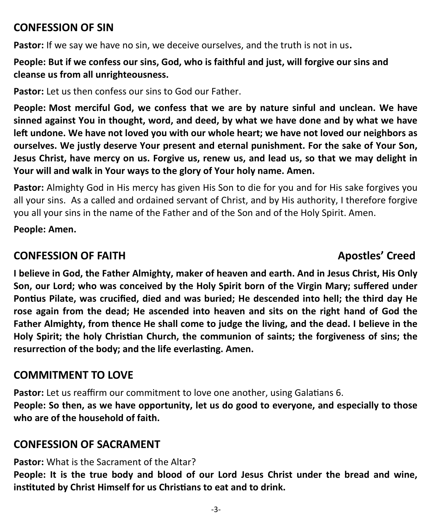## **CONFESSION OF SIN**

**Pastor:** If we say we have no sin, we deceive ourselves, and the truth is not in us**.**

### **People: But if we confess our sins, God, who is faithful and just, will forgive our sins and cleanse us from all unrighteousness.**

**Pastor:** Let us then confess our sins to God our Father.

**People: Most merciful God, we confess that we are by nature sinful and unclean. We have sinned against You in thought, word, and deed, by what we have done and by what we have left undone. We have not loved you with our whole heart; we have not loved our neighbors as ourselves. We justly deserve Your present and eternal punishment. For the sake of Your Son, Jesus Christ, have mercy on us. Forgive us, renew us, and lead us, so that we may delight in Your will and walk in Your ways to the glory of Your holy name. Amen.**

**Pastor:** Almighty God in His mercy has given His Son to die for you and for His sake forgives you all your sins. As a called and ordained servant of Christ, and by His authority, I therefore forgive you all your sins in the name of the Father and of the Son and of the Holy Spirit. Amen.

**People: Amen.**

## **CONFESSION OF FAITH Apostles' Creed**

**I believe in God, the Father Almighty, maker of heaven and earth. And in Jesus Christ, His Only Son, our Lord; who was conceived by the Holy Spirit born of the Virgin Mary; suffered under Pontius Pilate, was crucified, died and was buried; He descended into hell; the third day He rose again from the dead; He ascended into heaven and sits on the right hand of God the Father Almighty, from thence He shall come to judge the living, and the dead. I believe in the Holy Spirit; the holy Christian Church, the communion of saints; the forgiveness of sins; the resurrection of the body; and the life everlasting. Amen.**

## **COMMITMENT TO LOVE**

**Pastor:** Let us reaffirm our commitment to love one another, using Galatians 6.

**People: So then, as we have opportunity, let us do good to everyone, and especially to those who are of the household of faith.**

## **CONFESSION OF SACRAMENT**

**Pastor:** What is the Sacrament of the Altar?

**People: It is the true body and blood of our Lord Jesus Christ under the bread and wine, instituted by Christ Himself for us Christians to eat and to drink.**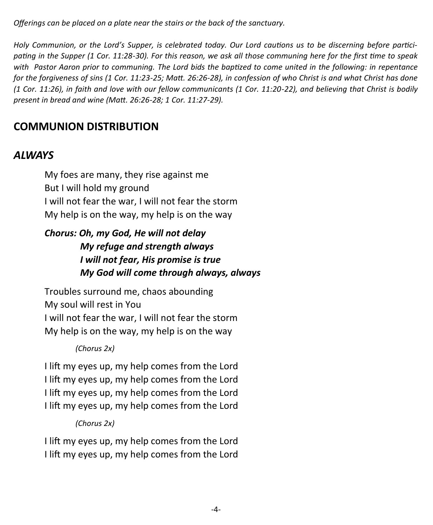*Offerings can be placed on a plate near the stairs or the back of the sanctuary.*

*Holy Communion, or the Lord's Supper, is celebrated today. Our Lord cautions us to be discerning before participating in the Supper (1 Cor. 11:28-30). For this reason, we ask all those communing here for the first time to speak with Pastor Aaron prior to communing. The Lord bids the baptized to come united in the following: in repentance for the forgiveness of sins (1 Cor. 11:23-25; Matt. 26:26-28), in confession of who Christ is and what Christ has done (1 Cor. 11:26), in faith and love with our fellow communicants (1 Cor. 11:20-22), and believing that Christ is bodily present in bread and wine (Matt. 26:26-28; 1 Cor. 11:27-29).*

## **COMMUNION DISTRIBUTION**

#### *ALWAYS*

My foes are many, they rise against me But I will hold my ground I will not fear the war, I will not fear the storm My help is on the way, my help is on the way

## *Chorus: Oh, my God, He will not delay My refuge and strength always I will not fear, His promise is true My God will come through always, always*

Troubles surround me, chaos abounding My soul will rest in You I will not fear the war, I will not fear the storm My help is on the way, my help is on the way

*(Chorus 2x)*

I lift my eyes up, my help comes from the Lord I lift my eyes up, my help comes from the Lord I lift my eyes up, my help comes from the Lord I lift my eyes up, my help comes from the Lord

*(Chorus 2x)*

I lift my eyes up, my help comes from the Lord I lift my eyes up, my help comes from the Lord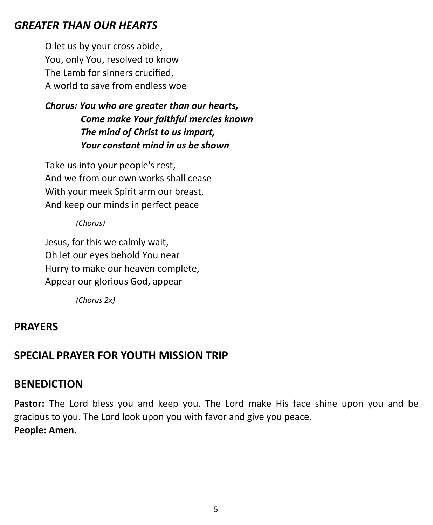## *GREATER THAN OUR HEARTS*

O let us by your cross abide, You, only You, resolved to know The Lamb for sinners crucified, A world to save from endless woe

*Chorus: You who are greater than our hearts, Come make Your faithful mercies known The mind of Christ to us impart, Your constant mind in us be shown*

Take us into your people's rest, And we from our own works shall cease With your meek Spirit arm our breast, And keep our minds in perfect peace

*(Chorus)*

Jesus, for this we calmly wait, Oh let our eyes behold You near Hurry to make our heaven complete, Appear our glorious God, appear

*(Chorus 2x)*

#### **PRAYERS**

## **SPECIAL PRAYER FOR YOUTH MISSION TRIP**

## **BENEDICTION**

Pastor: The Lord bless you and keep you. The Lord make His face shine upon you and be gracious to you. The Lord look upon you with favor and give you peace. **People: Amen.**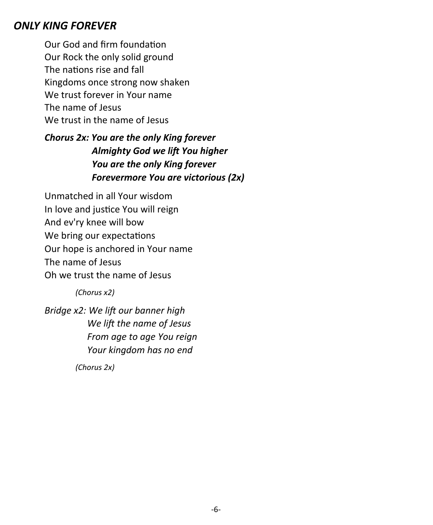### *ONLY KING FOREVER*

Our God and firm foundation Our Rock the only solid ground The nations rise and fall Kingdoms once strong now shaken We trust forever in Your name The name of Jesus We trust in the name of Jesus

## *Chorus 2x: You are the only King forever Almighty God we lift You higher You are the only King forever Forevermore You are victorious (2x)*

Unmatched in all Your wisdom In love and justice You will reign And ev'ry knee will bow We bring our expectations Our hope is anchored in Your name The name of Jesus Oh we trust the name of Jesus

*(Chorus x2)*

*Bridge x2: We lift our banner high We lift the name of Jesus From age to age You reign Your kingdom has no end*

*(Chorus 2x)*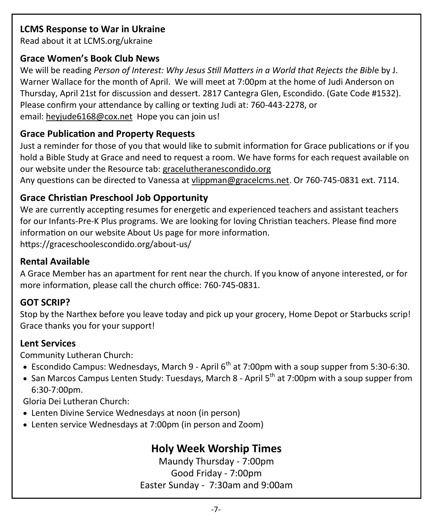#### **LCMS Response to War in Ukraine**

Read about it at LCMS.org/ukraine

#### **Grace Women's Book Club News**

We will be reading *Person of Interest: Why Jesus Still Matters in a World that Rejects the Bibl*e by J. Warner Wallace for the month of April. We will meet at 7:00pm at the home of Judi Anderson on Thursday, April 21st for discussion and dessert. 2817 Cantegra Glen, Escondido. (Gate Code #1532). Please confirm your attendance by calling or texting Judi at: 760-443-2278, or email: [heyjude6168@cox.net](mailto:heyjude6168@cox.net) Hope you can join us!

#### **Grace Publication and Property Requests**

Just a reminder for those of you that would like to submit information for Grace publications or if you hold a Bible Study at Grace and need to request a room. We have forms for each request available on our website under the Resource tab: gracelutheranescondido.org

Any questions can be directed to Vanessa at [vlippman@gracelcms.net.](mailto:vlippman@gracelcms.net) Or 760-745-0831 ext. 7114.

#### **Grace Christian Preschool Job Opportunity**

We are currently accepting resumes for energetic and experienced teachers and assistant teachers for our Infants-Pre-K Plus programs. We are looking for loving Christian teachers. Please find more information on our website About Us page for more information. https://graceschoolescondido.org/about-us/

#### **Rental Available**

A Grace Member has an apartment for rent near the church. If you know of anyone interested, or for more information, please call the church office: 760-745-0831.

#### **GOT SCRIP?**

Stop by the Narthex before you leave today and pick up your grocery, Home Depot or Starbucks scrip! Grace thanks you for your support!

#### **Lent Services**

Community Lutheran Church:

- **Escondido Campus: Wednesdays, March 9 April 6<sup>th</sup> at 7:00pm with a soup supper from 5:30-6:30.**
- San Marcos Campus Lenten Study: Tuesdays, March 8 April  $5<sup>th</sup>$  at 7:00pm with a soup supper from 6:30-7:00pm.

Gloria Dei Lutheran Church:

- Lenten Divine Service Wednesdays at noon (in person)
- Lenten service Wednesdays at 7:00pm (in person and Zoom)

## **Holy Week Worship Times**

Maundy Thursday - 7:00pm Good Friday - 7:00pm Easter Sunday - 7:30am and 9:00am